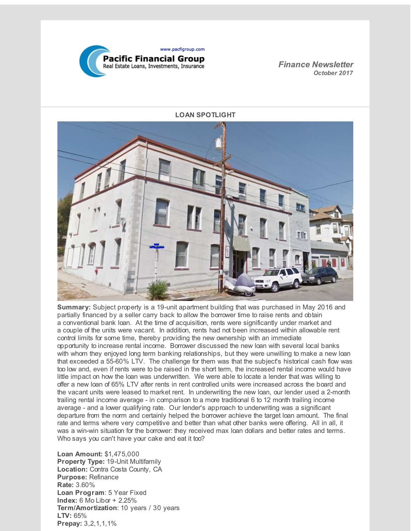

*Finance Newsletter October 2017*



**Summary:** Subject property is a 19-unit apartment building that was purchased in May 2016 and partially financed by a seller carry back to allow the borrower time to raise rents and obtain a conventional bank loan. At the time of acquisition, rents were significantly under market and a couple of the units were vacant. In addition, rents had not been increased within allowable rent control limits for some time, thereby providing the new ownership with an immediate opportunity to increase rental income. Borrower discussed the new loan with several local banks with whom they enjoyed long term banking relationships, but they were unwilling to make a new loan that exceeded a 55-60% LTV. The challenge for them was that the subject's historical cash flow was too low and, even if rents were to be raised in the short term, the increased rental income would have little impact on how the loan was underwritten. We were able to locate a lender that was willing to offer a new loan of 65% LTV after rents in rent controlled units were increased across the board and the vacant units were leased to market rent. In underwriting the new loan, our lender used a 2-month trailing rental income average - in comparison to a more traditional 6 to 12 month trailing income average - and a lower qualifying rate. Our lender's approach to underwriting was a significant departure from the norm and certainly helped the borrower achieve the target loan amount. The final rate and terms where very competitive and better than what other banks were offering. All in all, it was a win-win situation for the borrower: they received max loan dollars and better rates and terms. Who says you can't have your cake and eat it too?

**Loan Amount:** \$1,475,000 **Property Type:** 19-Unit Multifamily **Location:** Contra Costa County, CA **Purpose:** Refinance **Rate:** 3.60% **Loan Program**: 5 Year Fixed **Index:** 6 Mo Libor + 2.25% **Term/Amortization**: 10 years / 30 years **LTV:** 65% **Prepay:** 3,2,1,1,1%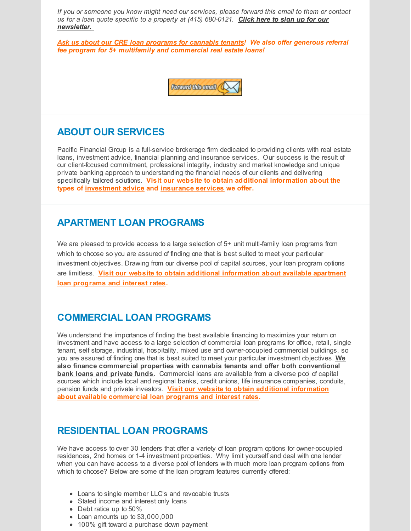*If you or someone you know might need our services, please forward this email to them or contact us for a loan quote specific to a property at (415) 680-0121. Click here to sign up for our [newsletter.](https://visitor.r20.constantcontact.com/d.jsp?llr=mklv8hvab&p=oi&m=1122324098380&sit=w8nve84jb&f=106eb0eb-89ba-47e4-b4be-76e66a11874e)*

*Ask us about our CRE loan programs for cannabis tenants! We also offer generous referral fee program for 5+ multifamily and commercial real estate loans!*



### **ABOUT OUR SERVICES**

Pacific Financial Group is a full-service brokerage firm dedicated to providing clients with real estate loans, investment advice, financial planning and insurance services. Our success is the result of our client-focused commitment, professional integrity, industry and market knowledge and unique private banking approach to understanding the financial needs of our clients and delivering specifically tailored solutions. **Visit our website to obtain additional information about the types of [investment](http://r20.rs6.net/tn.jsp?f=001HcSkldexEnMA-_rY8kwRsmZEY8VsnBD8DpzBfO5UUa_5RIjBuYeUNxAJVPh8PcnyBFteUCEbjRb9HUZttUb1i8iRgux1Ld1HaeQxT0FrZkWJh_XcdxLVTfA7BlaxSacjPZ7RK1Q0Bq-FIu2w0lU-oESQTxGxMh2GGYg3TiRPW2NVKrjT66HQmf8uQ_UVbU3IHWdOH_NT2zY=&c=&ch=) advice and [insurance](http://r20.rs6.net/tn.jsp?f=001HcSkldexEnMA-_rY8kwRsmZEY8VsnBD8DpzBfO5UUa_5RIjBuYeUNxAJVPh8Pcny-pMkvRHb9PxcCgtP8IkbIsBgGQTEO7h9mSk5tHaqC16hmrr2TZtdmJOSXBhW4MS0FcD-ZjWY2E79hhhYrGWU9vbs9msODtNB9YXRWoSw348S2_aOggwYEkgox-05BCchnzYbEdEWmo0=&c=&ch=) services we offer.**

#### **APARTMENT LOAN PROGRAMS**

We are pleased to provide access to a large selection of 5+ unit multi-family loan programs from which to choose so you are assured of finding one that is best suited to meet your particular investment objectives. Drawing from our diverse pool of capital sources, your loan program options are limitless. **Visit our website to obtain additional [information](http://r20.rs6.net/tn.jsp?f=001HcSkldexEnMA-_rY8kwRsmZEY8VsnBD8DpzBfO5UUa_5RIjBuYeUNxAJVPh8Pcny_tXrtWQvJzqBluKzHNSpa4r2ILpMlIL09JrkSO5EaL8Wn4B44dK6UMV6dQOr8OkUmkp9DSzm021Sf4jnD77rbDjNgjg0-mQgJIfKUr7uRJSMZ6OtqJ0wLJXQ_e4r4_nDKxAUdRo-gxE=&c=&ch=) about available apartment loan programs and interest rates.**

# **COMMERCIAL LOAN PROGRAMS**

We understand the importance of finding the best available financing to maximize your return on investment and have access to a large selection of commercial loan programs for office, retail, single tenant, self storage, industrial, hospitality, mixed use and owner-occupied commercial buildings, so you are assured of finding one that is best suited to meet your particular investment objectives. **We also finance commercial properties with cannabis tenants and offer both conventional bank loans and private funds**. Commercial loans are available from a diverse pool of capital sources which include local and regional banks, credit unions, life insurance companies, conduits, pension funds and private investors. **Visit our website to obtain additional information about available [commercial](http://r20.rs6.net/tn.jsp?f=001HcSkldexEnMA-_rY8kwRsmZEY8VsnBD8DpzBfO5UUa_5RIjBuYeUNxAJVPh8PcnyifUTU4K8s6skPu3QUTdftZeJJNtl4Bsor7pdEZKw46DPFwuOa0gNvTPp9SzGAH_MrMhWHRT8wHI-SxeioRFpy34DynAF1dje_nmsNAaP8sKZz8bGNZqN9maQhRrWRLsGmNWRU-Cz8AY=&c=&ch=) loan programs and interest rates.**

# **RESIDENTIAL LOAN PROGRAMS**

We have access to over 30 lenders that offer a variety of loan program options for owner-occupied residences, 2nd homes or 1-4 investment properties. Why limit yourself and deal with one lender when you can have access to a diverse pool of lenders with much more loan program options from which to choose? Below are some of the loan program features currently offered:

- Loans to single member LLC's and revocable trusts
- Stated income and interest only loans
- Debt ratios up to 50%
- Loan amounts up to \$3,000,000
- 100% gift toward a purchase down payment